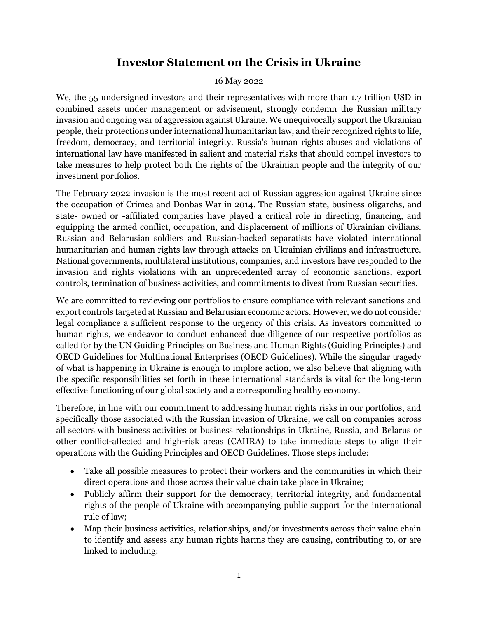## **Investor Statement on the Crisis in Ukraine**

## 16 May 2022

We, the 55 undersigned investors and their representatives with more than 1.7 trillion USD in combined assets under management or advisement, strongly condemn the Russian military invasion and ongoing war of aggression against Ukraine. We unequivocally support the Ukrainian people, their protections under international humanitarian law, and their recognized rights to life, freedom, democracy, and territorial integrity. Russia's human rights abuses and violations of international law have manifested in salient and material risks that should compel investors to take measures to help protect both the rights of the Ukrainian people and the integrity of our investment portfolios.

The February 2022 invasion is the most recent act of Russian aggression against Ukraine since the occupation of Crimea and Donbas War in 2014. The Russian state, business oligarchs, and state- owned or -affiliated companies have played a critical role in directing, financing, and equipping the armed conflict, occupation, and displacement of millions of Ukrainian civilians. Russian and Belarusian soldiers and Russian-backed separatists have violated international humanitarian and human rights law through attacks on Ukrainian civilians and infrastructure. National governments, multilateral institutions, companies, and investors have responded to the invasion and rights violations with an unprecedented array of economic sanctions, export controls, termination of business activities, and commitments to divest from Russian securities.

We are committed to reviewing our portfolios to ensure compliance with relevant sanctions and export controls targeted at Russian and Belarusian economic actors. However, we do not consider legal compliance a sufficient response to the urgency of this crisis. As investors committed to human rights, we endeavor to conduct enhanced due diligence of our respective portfolios as called for by the UN Guiding Principles on Business and Human Rights (Guiding Principles) and OECD Guidelines for Multinational Enterprises (OECD Guidelines). While the singular tragedy of what is happening in Ukraine is enough to implore action, we also believe that aligning with the specific responsibilities set forth in these international standards is vital for the long-term effective functioning of our global society and a corresponding healthy economy.

Therefore, in line with our commitment to addressing human rights risks in our portfolios, and specifically those associated with the Russian invasion of Ukraine, we call on companies across all sectors with business activities or business relationships in Ukraine, Russia, and Belarus or other conflict-affected and high-risk areas (CAHRA) to take immediate steps to align their operations with the Guiding Principles and OECD Guidelines. Those steps include:

- Take all possible measures to protect their workers and the communities in which their direct operations and those across their value chain take place in Ukraine;
- Publicly affirm their support for the democracy, territorial integrity, and fundamental rights of the people of Ukraine with accompanying public support for the international rule of law;
- Map their business activities, relationships, and/or investments across their value chain to identify and assess any human rights harms they are causing, contributing to, or are linked to including: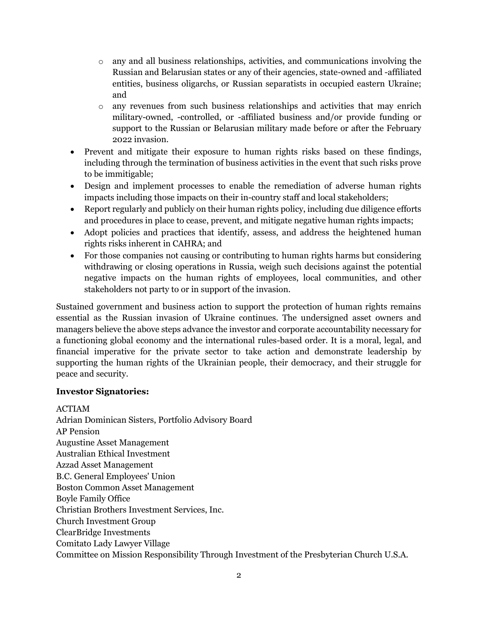- $\circ$  any and all business relationships, activities, and communications involving the Russian and Belarusian states or any of their agencies, state-owned and -affiliated entities, business oligarchs, or Russian separatists in occupied eastern Ukraine; and
- o any revenues from such business relationships and activities that may enrich military-owned, -controlled, or -affiliated business and/or provide funding or support to the Russian or Belarusian military made before or after the February 2022 invasion.
- Prevent and mitigate their exposure to human rights risks based on these findings, including through the termination of business activities in the event that such risks prove to be immitigable;
- Design and implement processes to enable the remediation of adverse human rights impacts including those impacts on their in-country staff and local stakeholders;
- Report regularly and publicly on their human rights policy, including due diligence efforts and procedures in place to cease, prevent, and mitigate negative human rights impacts;
- Adopt policies and practices that identify, assess, and address the heightened human rights risks inherent in CAHRA; and
- For those companies not causing or contributing to human rights harms but considering withdrawing or closing operations in Russia, weigh such decisions against the potential negative impacts on the human rights of employees, local communities, and other stakeholders not party to or in support of the invasion.

Sustained government and business action to support the protection of human rights remains essential as the Russian invasion of Ukraine continues. The undersigned asset owners and managers believe the above steps advance the investor and corporate accountability necessary for a functioning global economy and the international rules-based order. It is a moral, legal, and financial imperative for the private sector to take action and demonstrate leadership by supporting the human rights of the Ukrainian people, their democracy, and their struggle for peace and security.

## **Investor Signatories:**

ACTIAM Adrian Dominican Sisters, Portfolio Advisory Board AP Pension Augustine Asset Management Australian Ethical Investment Azzad Asset Management B.C. General Employees' Union Boston Common Asset Management Boyle Family Office Christian Brothers Investment Services, Inc. Church Investment Group ClearBridge Investments Comitato Lady Lawyer Village Committee on Mission Responsibility Through Investment of the Presbyterian Church U.S.A.